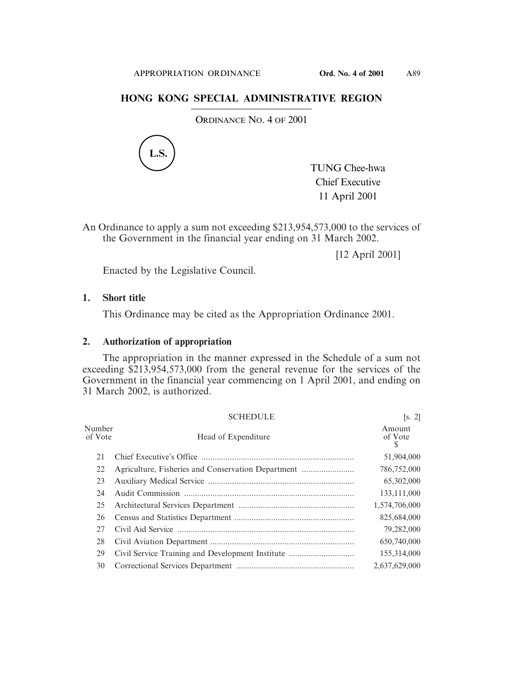## **HONG KONG SPECIAL ADMINISTRATIVE REGION**

ORDINANCE NO. 4 OF 2001



An Ordinance to apply a sum not exceeding \$213,954,573,000 to the services of the Government in the financial year ending on 31 March 2002.

[12 April 2001]

Enacted by the Legislative Council.

## **1. Short title**

This Ordinance may be cited as the Appropriation Ordinance 2001.

## **2. Authorization of appropriation**

The appropriation in the manner expressed in the Schedule of a sum not exceeding \$213,954,573,000 from the general revenue for the services of the Government in the financial year commencing on 1 April 2001, and ending on 31 March 2002, is authorized.

|                   | <b>SCHEDULE</b>                                  | [s, 2]                 |
|-------------------|--------------------------------------------------|------------------------|
| Number<br>of Vote | Head of Expenditure                              | Amount<br>of Vote<br>S |
| 21                |                                                  | 51,904,000             |
| 22                |                                                  | 786,752,000            |
| 23                |                                                  | 65,302,000             |
| 24                |                                                  | 133, 111, 000          |
| 25                |                                                  | 1,574,706,000          |
| 26                |                                                  | 825,684,000            |
| 27                |                                                  | 79,282,000             |
| 28                |                                                  | 650,740,000            |
| 29                | Civil Service Training and Development Institute | 155,314,000            |
| 30                |                                                  | 2,637,629,000          |

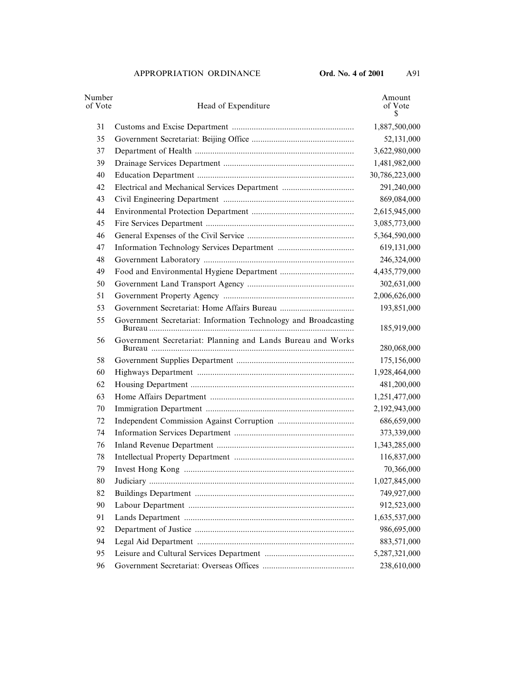| Number<br>of Vote | Head of Expenditure                                             | Amount<br>of Vote<br>S |
|-------------------|-----------------------------------------------------------------|------------------------|
| 31                |                                                                 | 1,887,500,000          |
| 35                |                                                                 | 52,131,000             |
| 37                |                                                                 | 3,622,980,000          |
| 39                |                                                                 | 1,481,982,000          |
| 40                |                                                                 | 30,786,223,000         |
| 42                | Electrical and Mechanical Services Department                   | 291,240,000            |
| 43                |                                                                 | 869,084,000            |
| 44                |                                                                 | 2,615,945,000          |
| 45                |                                                                 | 3,085,773,000          |
| 46                |                                                                 | 5,364,590,000          |
| 47                |                                                                 | 619,131,000            |
| 48                |                                                                 | 246,324,000            |
| 49                |                                                                 | 4,435,779,000          |
| 50                |                                                                 | 302,631,000            |
| 51                |                                                                 | 2,006,626,000          |
| 53                |                                                                 | 193,851,000            |
| 55                | Government Secretariat: Information Technology and Broadcasting | 185,919,000            |
| 56                | Government Secretariat: Planning and Lands Bureau and Works     | 280,068,000            |
| 58                |                                                                 | 175,156,000            |
| 60                |                                                                 | 1,928,464,000          |
| 62                |                                                                 | 481,200,000            |
| 63                |                                                                 | 1,251,477,000          |
| 70                |                                                                 | 2,192,943,000          |
| 72                |                                                                 | 686,659,000            |
| 74                |                                                                 | 373,339,000            |
| 76                |                                                                 | 1,343,285,000          |
| 78                |                                                                 | 116,837,000            |
| 79                |                                                                 | 70,366,000             |
| 80                |                                                                 | 1,027,845,000          |
| 82                |                                                                 | 749,927,000            |
| 90                |                                                                 | 912,523,000            |
| 91                |                                                                 | 1,635,537,000          |
| 92                |                                                                 | 986,695,000            |
| 94                |                                                                 | 883,571,000            |
| 95                |                                                                 | 5,287,321,000          |
| 96                |                                                                 | 238,610,000            |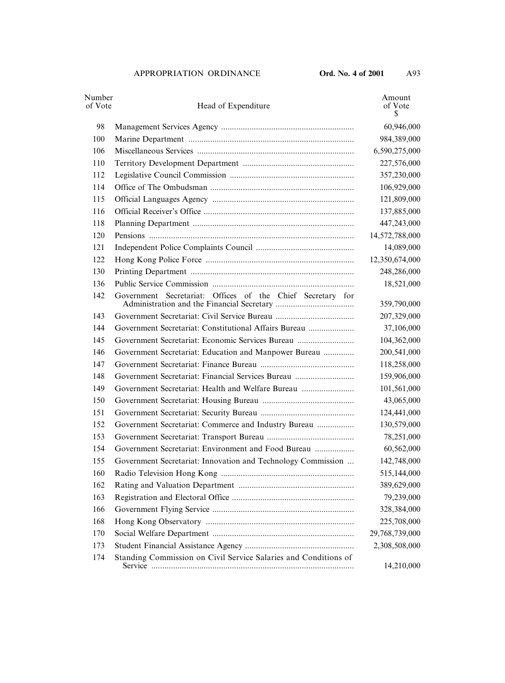| Number<br>of Vote | Head of Expenditure                                             | Amount<br>of Vote<br>S |
|-------------------|-----------------------------------------------------------------|------------------------|
| 98                |                                                                 | 60,946,000             |
| 100               |                                                                 | 984,389,000            |
| 106               |                                                                 | 6,590,275,000          |
| 110               |                                                                 | 227,576,000            |
| 112               |                                                                 | 357,230,000            |
| 114               |                                                                 | 106,929,000            |
| 115               |                                                                 | 121,809,000            |
| 116               |                                                                 | 137,885,000            |
| 118               |                                                                 | 447,243,000            |
| 120               |                                                                 | 14,572,788,000         |
| 121               |                                                                 | 14,089,000             |
| 122               |                                                                 | 12,350,674,000         |
| 130               |                                                                 | 248,286,000            |
| 136               |                                                                 | 18,521,000             |
| 142               | Government Secretariat: Offices of the Chief Secretary for      | 359,790,000            |
| 143               |                                                                 | 207,329,000            |
| 144               | Government Secretariat: Constitutional Affairs Bureau           | 37,106,000             |
| 145               | Government Secretariat: Economic Services Bureau                | 104,362,000            |
| 146               | Government Secretariat: Education and Manpower Bureau           | 200,541,000            |
| 147               |                                                                 | 118,258,000            |
| 148               | Government Secretariat: Financial Services Bureau               | 159,906,000            |
| 149               | Government Secretariat: Health and Welfare Bureau               | 101,561,000            |
| 150               |                                                                 | 43,065,000             |
| 151               |                                                                 | 124,441,000            |
| 152               | Government Secretariat: Commerce and Industry Bureau            | 130,579,000            |
| 153               |                                                                 | 78,251,000             |
| 154               | Government Secretariat: Environment and Food Bureau             | 60,562,000             |
| 155               | Government Secretariat: Innovation and Technology Commission    | 142,748,000            |
| 160               |                                                                 | 515,144,000            |
| 162               |                                                                 | 389,629,000            |
| 163               |                                                                 | 79,239,000             |
| 166               |                                                                 | 328,384,000            |
| 168               |                                                                 | 225,708,000            |
| 170               |                                                                 | 29,768,739,000         |
| 173               |                                                                 | 2,308,508,000          |
| 174               | Standing Commission on Civil Service Salaries and Conditions of | 14,210,000             |